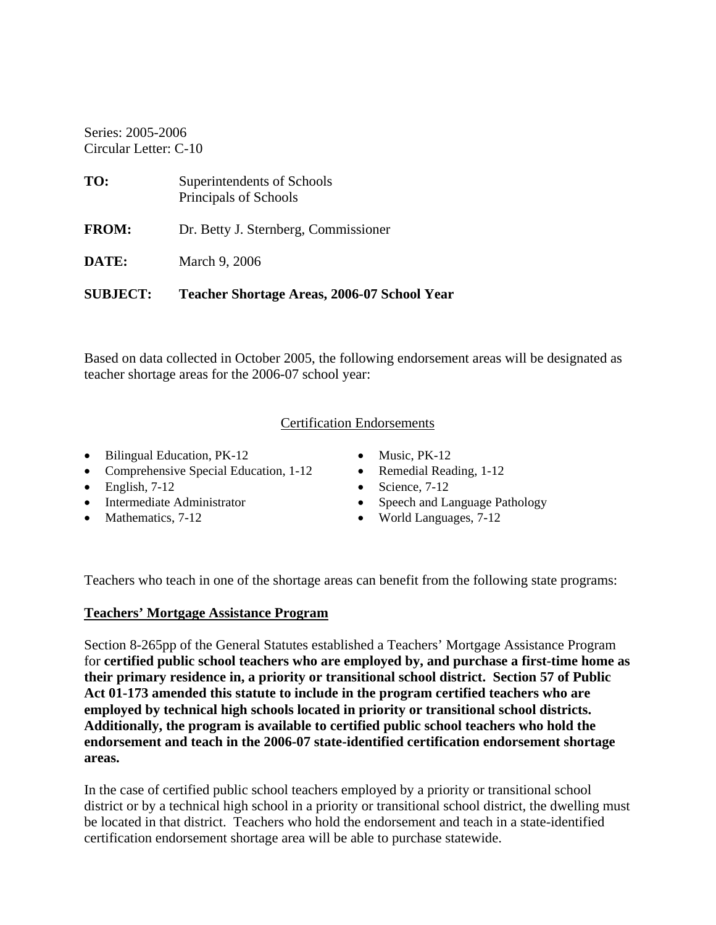Series: 2005-2006 Circular Letter: C-10

| TO:          | Superintendents of Schools<br>Principals of Schools |
|--------------|-----------------------------------------------------|
| <b>FROM:</b> | Dr. Betty J. Sternberg, Commissioner                |
| DATE:        | March 9, 2006                                       |
|              |                                                     |

**SUBJECT: Teacher Shortage Areas, 2006-07 School Year** 

Based on data collected in October 2005, the following endorsement areas will be designated as teacher shortage areas for the 2006-07 school year:

### Certification Endorsements

- Bilingual Education, PK-12 Music, PK-12
- Comprehensive Special Education, 1-12 Remedial Reading, 1-12
- 
- 
- 
- 
- 
- English,  $7-12$  Science,  $7-12$
- Intermediate Administrator Speech and Language Pathology
- Mathematics, 7-12 World Languages, 7-12

Teachers who teach in one of the shortage areas can benefit from the following state programs:

## **Teachers' Mortgage Assistance Program**

Section 8-265pp of the General Statutes established a Teachers' Mortgage Assistance Program for **certified public school teachers who are employed by, and purchase a first-time home as their primary residence in, a priority or transitional school district. Section 57 of Public Act 01-173 amended this statute to include in the program certified teachers who are employed by technical high schools located in priority or transitional school districts. Additionally, the program is available to certified public school teachers who hold the endorsement and teach in the 2006-07 state-identified certification endorsement shortage areas.** 

In the case of certified public school teachers employed by a priority or transitional school district or by a technical high school in a priority or transitional school district, the dwelling must be located in that district. Teachers who hold the endorsement and teach in a state-identified certification endorsement shortage area will be able to purchase statewide.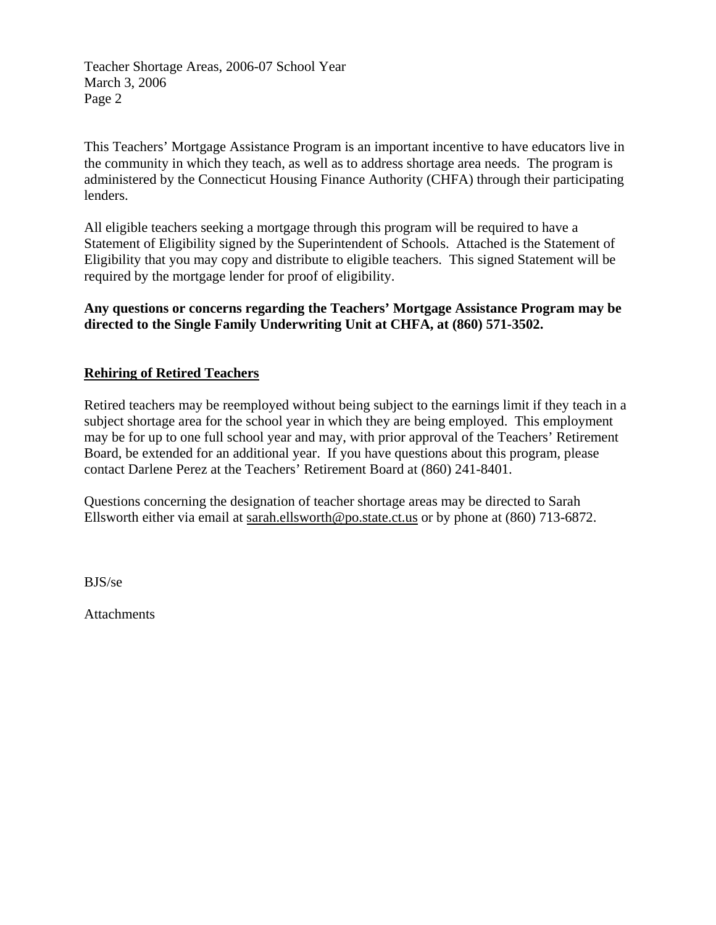Teacher Shortage Areas, 2006-07 School Year March 3, 2006 Page 2

This Teachers' Mortgage Assistance Program is an important incentive to have educators live in the community in which they teach, as well as to address shortage area needs. The program is administered by the Connecticut Housing Finance Authority (CHFA) through their participating lenders.

All eligible teachers seeking a mortgage through this program will be required to have a Statement of Eligibility signed by the Superintendent of Schools. Attached is the Statement of Eligibility that you may copy and distribute to eligible teachers. This signed Statement will be required by the mortgage lender for proof of eligibility.

**Any questions or concerns regarding the Teachers' Mortgage Assistance Program may be directed to the Single Family Underwriting Unit at CHFA, at (860) 571-3502.** 

#### **Rehiring of Retired Teachers**

Retired teachers may be reemployed without being subject to the earnings limit if they teach in a subject shortage area for the school year in which they are being employed. This employment may be for up to one full school year and may, with prior approval of the Teachers' Retirement Board, be extended for an additional year. If you have questions about this program, please contact Darlene Perez at the Teachers' Retirement Board at (860) 241-8401.

Questions concerning the designation of teacher shortage areas may be directed to Sarah Ellsworth either via email at sarah.ellsworth@po.state.ct.us or by phone at (860) 713-6872.

BJS/se

Attachments